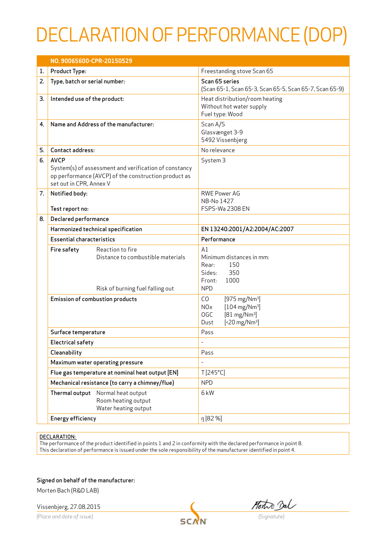## DECLARATION OF PERFORMANCE (DOP)

|    | NO. 90065600-CPR-20150529                       |                                                                                                               |                                                                                                                                                                                         |  |
|----|-------------------------------------------------|---------------------------------------------------------------------------------------------------------------|-----------------------------------------------------------------------------------------------------------------------------------------------------------------------------------------|--|
| 1. | <b>Product Type:</b>                            |                                                                                                               | Freestanding stove Scan 65                                                                                                                                                              |  |
| 2. | Type, batch or serial number:                   |                                                                                                               | Scan 65 series<br>(Scan 65-1, Scan 65-3, Scan 65-5, Scan 65-7, Scan 65-9)                                                                                                               |  |
| 3. | Intended use of the product:                    |                                                                                                               | Heat distribution/room heating<br>Without hot water supply<br>Fuel type: Wood                                                                                                           |  |
| 4. |                                                 | Name and Address of the manufacturer:                                                                         | Scan A/S<br>Glasvænget 3-9<br>5492 Vissenbjerg                                                                                                                                          |  |
| 5. | Contact address:                                |                                                                                                               | No relevance                                                                                                                                                                            |  |
| 6. | <b>AVCP</b><br>set out in CPR, Annex V          | System(s) of assessment and verification of constancy<br>op performance (AVCP) of the construction product as | System <sub>3</sub>                                                                                                                                                                     |  |
| 7. | Notified body:<br>Test report no:               |                                                                                                               | <b>RWE Power AG</b><br>NB-No 1427<br>FSPS-Wa 2308 EN                                                                                                                                    |  |
| 8. | Declared performance                            |                                                                                                               |                                                                                                                                                                                         |  |
|    | Harmonized technical specification              |                                                                                                               | EN 13240:2001/A2:2004/AC:2007                                                                                                                                                           |  |
|    | <b>Essential characteristics</b>                |                                                                                                               | Performance                                                                                                                                                                             |  |
|    | Fire safety                                     | Reaction to fire<br>Distance to combustible materials<br>Risk of burning fuel falling out                     | A1<br>Minimum distances in mm:<br>150<br>Rear:<br>Sides:<br>350<br>Front:<br>1000<br><b>NPD</b>                                                                                         |  |
|    | <b>Emission of combustion products</b>          |                                                                                                               | CO<br>$[975 \text{ mg}/\text{Nm}^3]$<br>$[104 \,\mathrm{mg}/\mathrm{Nm^3}]$<br>NO <sub>x</sub><br><b>OGC</b><br>$[81 \text{ mg}/\text{Nm}^3]$<br>$[520 \text{ mg}/\text{Nm}^3]$<br>Dust |  |
|    | Surface temperature                             |                                                                                                               | Pass                                                                                                                                                                                    |  |
|    | <b>Electrical safety</b>                        |                                                                                                               |                                                                                                                                                                                         |  |
|    | Cleanability                                    |                                                                                                               | Pass                                                                                                                                                                                    |  |
|    | Maximum water operating pressure                |                                                                                                               | ÷,                                                                                                                                                                                      |  |
|    |                                                 | Flue gas temperature at nominal heat output [EN]                                                              | $T[245^{\circ}C]$                                                                                                                                                                       |  |
|    | Mechanical resistance (to carry a chimney/flue) |                                                                                                               | <b>NPD</b>                                                                                                                                                                              |  |
|    | Thermal output                                  | Normal heat output<br>Room heating output<br>Water heating output                                             | 6 <sub>kW</sub>                                                                                                                                                                         |  |
|    | Energy efficiency                               |                                                                                                               | η [82 %]                                                                                                                                                                                |  |

## DECLARATION:

The performance of the product identified in points 1 and 2 in conformity with the declared performance in point 8. This declaration of performance is issued under the sole responsibility of the manufacturer identified in point 4.

Signed on behalf of the manufacturer:

Morten Bach (R&D LAB)

Vissenbjerg, 27.08.2015

Vissenbjerg, 27.08.2015<br>
(Place and date of issue) **SCAN** (Signatute)